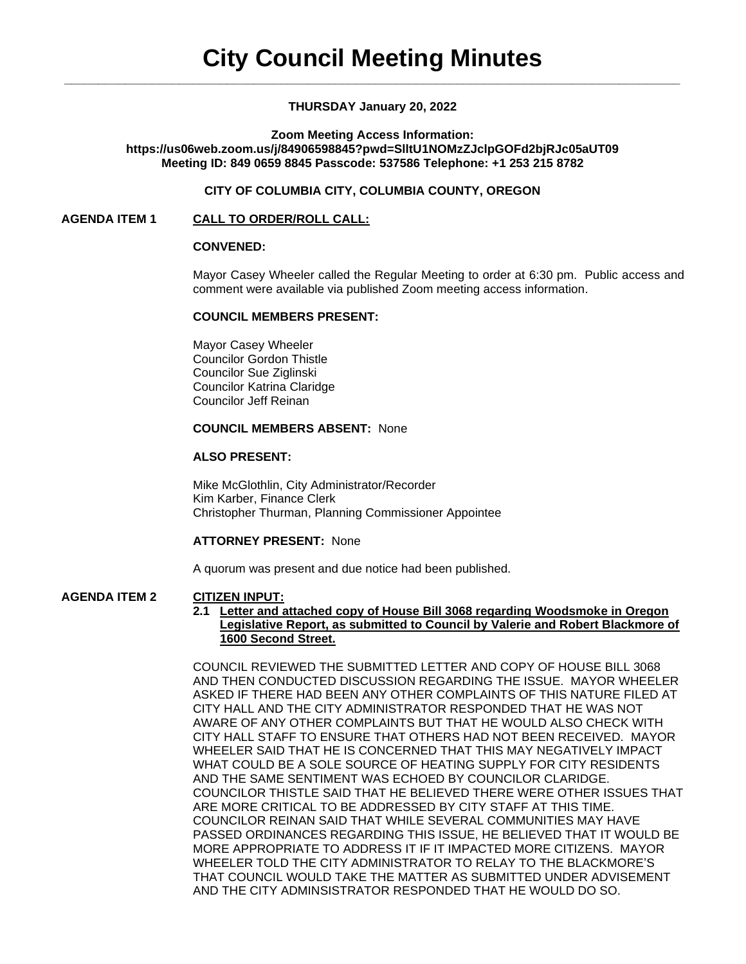### **THURSDAY January 20, 2022**

#### **Zoom Meeting Access Information: https://us06web.zoom.us/j/84906598845?pwd=SlltU1NOMzZJclpGOFd2bjRJc05aUT09 Meeting ID: 849 0659 8845 Passcode: 537586 Telephone: +1 253 215 8782**

## **CITY OF COLUMBIA CITY, COLUMBIA COUNTY, OREGON**

### **AGENDA ITEM 1 CALL TO ORDER/ROLL CALL:**

### **CONVENED:**

Mayor Casey Wheeler called the Regular Meeting to order at 6:30 pm. Public access and comment were available via published Zoom meeting access information.

### **COUNCIL MEMBERS PRESENT:**

Mayor Casey Wheeler Councilor Gordon Thistle Councilor Sue Ziglinski Councilor Katrina Claridge Councilor Jeff Reinan

## **COUNCIL MEMBERS ABSENT:** None

#### **ALSO PRESENT:**

Mike McGlothlin, City Administrator/Recorder Kim Karber, Finance Clerk Christopher Thurman, Planning Commissioner Appointee

### **ATTORNEY PRESENT:** None

A quorum was present and due notice had been published.

# **AGENDA ITEM 2 CITIZEN INPUT:**

#### **2.1 Letter and attached copy of House Bill 3068 regarding Woodsmoke in Oregon Legislative Report, as submitted to Council by Valerie and Robert Blackmore of 1600 Second Street.**

COUNCIL REVIEWED THE SUBMITTED LETTER AND COPY OF HOUSE BILL 3068 AND THEN CONDUCTED DISCUSSION REGARDING THE ISSUE. MAYOR WHEELER ASKED IF THERE HAD BEEN ANY OTHER COMPLAINTS OF THIS NATURE FILED AT CITY HALL AND THE CITY ADMINISTRATOR RESPONDED THAT HE WAS NOT AWARE OF ANY OTHER COMPLAINTS BUT THAT HE WOULD ALSO CHECK WITH CITY HALL STAFF TO ENSURE THAT OTHERS HAD NOT BEEN RECEIVED. MAYOR WHEELER SAID THAT HE IS CONCERNED THAT THIS MAY NEGATIVELY IMPACT WHAT COULD BE A SOLE SOURCE OF HEATING SUPPLY FOR CITY RESIDENTS AND THE SAME SENTIMENT WAS ECHOED BY COUNCILOR CLARIDGE. COUNCILOR THISTLE SAID THAT HE BELIEVED THERE WERE OTHER ISSUES THAT ARE MORE CRITICAL TO BE ADDRESSED BY CITY STAFF AT THIS TIME. COUNCILOR REINAN SAID THAT WHILE SEVERAL COMMUNITIES MAY HAVE PASSED ORDINANCES REGARDING THIS ISSUE, HE BELIEVED THAT IT WOULD BE MORE APPROPRIATE TO ADDRESS IT IF IT IMPACTED MORE CITIZENS. MAYOR WHEELER TOLD THE CITY ADMINISTRATOR TO RELAY TO THE BLACKMORE'S THAT COUNCIL WOULD TAKE THE MATTER AS SUBMITTED UNDER ADVISEMENT AND THE CITY ADMINSISTRATOR RESPONDED THAT HE WOULD DO SO.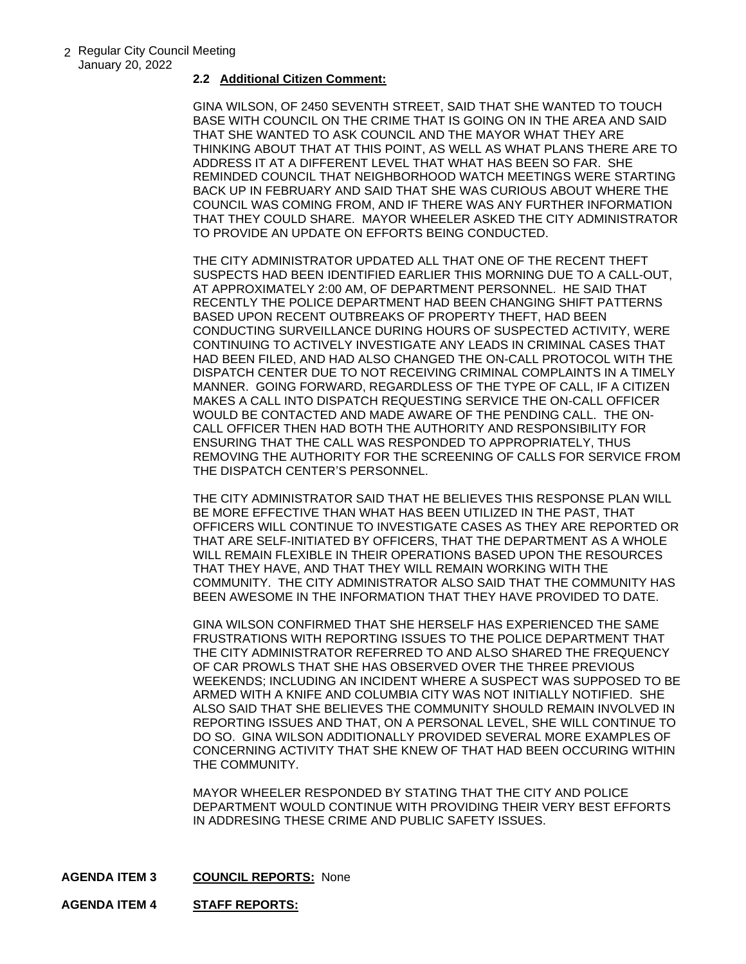#### **2.2 Additional Citizen Comment:**

GINA WILSON, OF 2450 SEVENTH STREET, SAID THAT SHE WANTED TO TOUCH BASE WITH COUNCIL ON THE CRIME THAT IS GOING ON IN THE AREA AND SAID THAT SHE WANTED TO ASK COUNCIL AND THE MAYOR WHAT THEY ARE THINKING ABOUT THAT AT THIS POINT, AS WELL AS WHAT PLANS THERE ARE TO ADDRESS IT AT A DIFFERENT LEVEL THAT WHAT HAS BEEN SO FAR. SHE REMINDED COUNCIL THAT NEIGHBORHOOD WATCH MEETINGS WERE STARTING BACK UP IN FEBRUARY AND SAID THAT SHE WAS CURIOUS ABOUT WHERE THE COUNCIL WAS COMING FROM, AND IF THERE WAS ANY FURTHER INFORMATION THAT THEY COULD SHARE. MAYOR WHEELER ASKED THE CITY ADMINISTRATOR TO PROVIDE AN UPDATE ON EFFORTS BEING CONDUCTED.

THE CITY ADMINISTRATOR UPDATED ALL THAT ONE OF THE RECENT THEFT SUSPECTS HAD BEEN IDENTIFIED EARLIER THIS MORNING DUE TO A CALL-OUT, AT APPROXIMATELY 2:00 AM, OF DEPARTMENT PERSONNEL. HE SAID THAT RECENTLY THE POLICE DEPARTMENT HAD BEEN CHANGING SHIFT PATTERNS BASED UPON RECENT OUTBREAKS OF PROPERTY THEFT, HAD BEEN CONDUCTING SURVEILLANCE DURING HOURS OF SUSPECTED ACTIVITY, WERE CONTINUING TO ACTIVELY INVESTIGATE ANY LEADS IN CRIMINAL CASES THAT HAD BEEN FILED, AND HAD ALSO CHANGED THE ON-CALL PROTOCOL WITH THE DISPATCH CENTER DUE TO NOT RECEIVING CRIMINAL COMPLAINTS IN A TIMELY MANNER. GOING FORWARD, REGARDLESS OF THE TYPE OF CALL, IF A CITIZEN MAKES A CALL INTO DISPATCH REQUESTING SERVICE THE ON-CALL OFFICER WOULD BE CONTACTED AND MADE AWARE OF THE PENDING CALL. THE ON-CALL OFFICER THEN HAD BOTH THE AUTHORITY AND RESPONSIBILITY FOR ENSURING THAT THE CALL WAS RESPONDED TO APPROPRIATELY, THUS REMOVING THE AUTHORITY FOR THE SCREENING OF CALLS FOR SERVICE FROM THE DISPATCH CENTER'S PERSONNEL.

THE CITY ADMINISTRATOR SAID THAT HE BELIEVES THIS RESPONSE PLAN WILL BE MORE EFFECTIVE THAN WHAT HAS BEEN UTILIZED IN THE PAST, THAT OFFICERS WILL CONTINUE TO INVESTIGATE CASES AS THEY ARE REPORTED OR THAT ARE SELF-INITIATED BY OFFICERS, THAT THE DEPARTMENT AS A WHOLE WILL REMAIN FLEXIBLE IN THEIR OPERATIONS BASED UPON THE RESOURCES THAT THEY HAVE, AND THAT THEY WILL REMAIN WORKING WITH THE COMMUNITY. THE CITY ADMINISTRATOR ALSO SAID THAT THE COMMUNITY HAS BEEN AWESOME IN THE INFORMATION THAT THEY HAVE PROVIDED TO DATE.

GINA WILSON CONFIRMED THAT SHE HERSELF HAS EXPERIENCED THE SAME FRUSTRATIONS WITH REPORTING ISSUES TO THE POLICE DEPARTMENT THAT THE CITY ADMINISTRATOR REFERRED TO AND ALSO SHARED THE FREQUENCY OF CAR PROWLS THAT SHE HAS OBSERVED OVER THE THREE PREVIOUS WEEKENDS; INCLUDING AN INCIDENT WHERE A SUSPECT WAS SUPPOSED TO BE ARMED WITH A KNIFE AND COLUMBIA CITY WAS NOT INITIALLY NOTIFIED. SHE ALSO SAID THAT SHE BELIEVES THE COMMUNITY SHOULD REMAIN INVOLVED IN REPORTING ISSUES AND THAT, ON A PERSONAL LEVEL, SHE WILL CONTINUE TO DO SO. GINA WILSON ADDITIONALLY PROVIDED SEVERAL MORE EXAMPLES OF CONCERNING ACTIVITY THAT SHE KNEW OF THAT HAD BEEN OCCURING WITHIN THE COMMUNITY.

MAYOR WHEELER RESPONDED BY STATING THAT THE CITY AND POLICE DEPARTMENT WOULD CONTINUE WITH PROVIDING THEIR VERY BEST EFFORTS IN ADDRESING THESE CRIME AND PUBLIC SAFETY ISSUES.

**AGENDA ITEM 3 COUNCIL REPORTS:** None

**AGENDA ITEM 4 STAFF REPORTS:**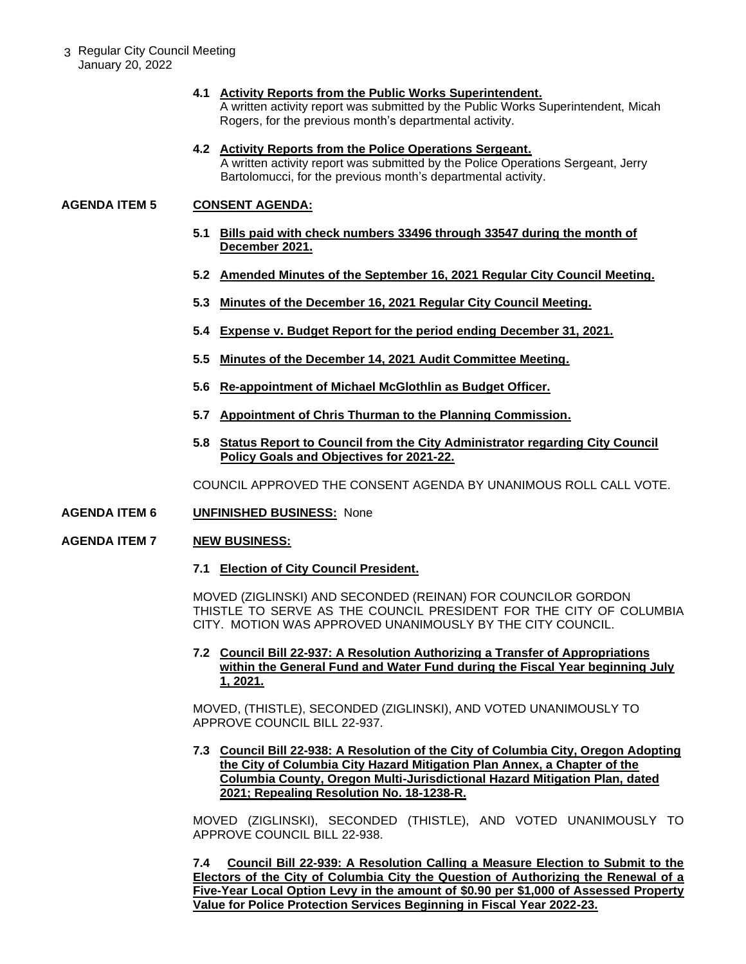3 Regular City Council Meeting January 20, 2022

#### **4.1 Activity Reports from the Public Works Superintendent.**

A written activity report was submitted by the Public Works Superintendent, Micah Rogers, for the previous month's departmental activity.

#### **4.2 Activity Reports from the Police Operations Sergeant.**

A written activity report was submitted by the Police Operations Sergeant, Jerry Bartolomucci, for the previous month's departmental activity.

## **AGENDA ITEM 5 CONSENT AGENDA:**

- **5.1 Bills paid with check numbers 33496 through 33547 during the month of December 2021.**
- **5.2 Amended Minutes of the September 16, 2021 Regular City Council Meeting.**
- **5.3 Minutes of the December 16, 2021 Regular City Council Meeting.**
- **5.4 Expense v. Budget Report for the period ending December 31, 2021.**
- **5.5 Minutes of the December 14, 2021 Audit Committee Meeting.**
- **5.6 Re-appointment of Michael McGlothlin as Budget Officer.**
- **5.7 Appointment of Chris Thurman to the Planning Commission.**
- **5.8 Status Report to Council from the City Administrator regarding City Council Policy Goals and Objectives for 2021-22.**

COUNCIL APPROVED THE CONSENT AGENDA BY UNANIMOUS ROLL CALL VOTE.

**AGENDA ITEM 6 UNFINISHED BUSINESS:** None

### **AGENDA ITEM 7 NEW BUSINESS:**

**7.1 Election of City Council President.** 

MOVED (ZIGLINSKI) AND SECONDED (REINAN) FOR COUNCILOR GORDON THISTLE TO SERVE AS THE COUNCIL PRESIDENT FOR THE CITY OF COLUMBIA CITY. MOTION WAS APPROVED UNANIMOUSLY BY THE CITY COUNCIL.

**7.2 Council Bill 22-937: A Resolution Authorizing a Transfer of Appropriations within the General Fund and Water Fund during the Fiscal Year beginning July 1, 2021.** 

MOVED, (THISTLE), SECONDED (ZIGLINSKI), AND VOTED UNANIMOUSLY TO APPROVE COUNCIL BILL 22-937.

**7.3 Council Bill 22-938: A Resolution of the City of Columbia City, Oregon Adopting the City of Columbia City Hazard Mitigation Plan Annex, a Chapter of the Columbia County, Oregon Multi-Jurisdictional Hazard Mitigation Plan, dated 2021; Repealing Resolution No. 18-1238-R.** 

MOVED (ZIGLINSKI), SECONDED (THISTLE), AND VOTED UNANIMOUSLY TO APPROVE COUNCIL BILL 22-938.

**7.4 Council Bill 22-939: A Resolution Calling a Measure Election to Submit to the Electors of the City of Columbia City the Question of Authorizing the Renewal of a Five-Year Local Option Levy in the amount of \$0.90 per \$1,000 of Assessed Property Value for Police Protection Services Beginning in Fiscal Year 2022-23.**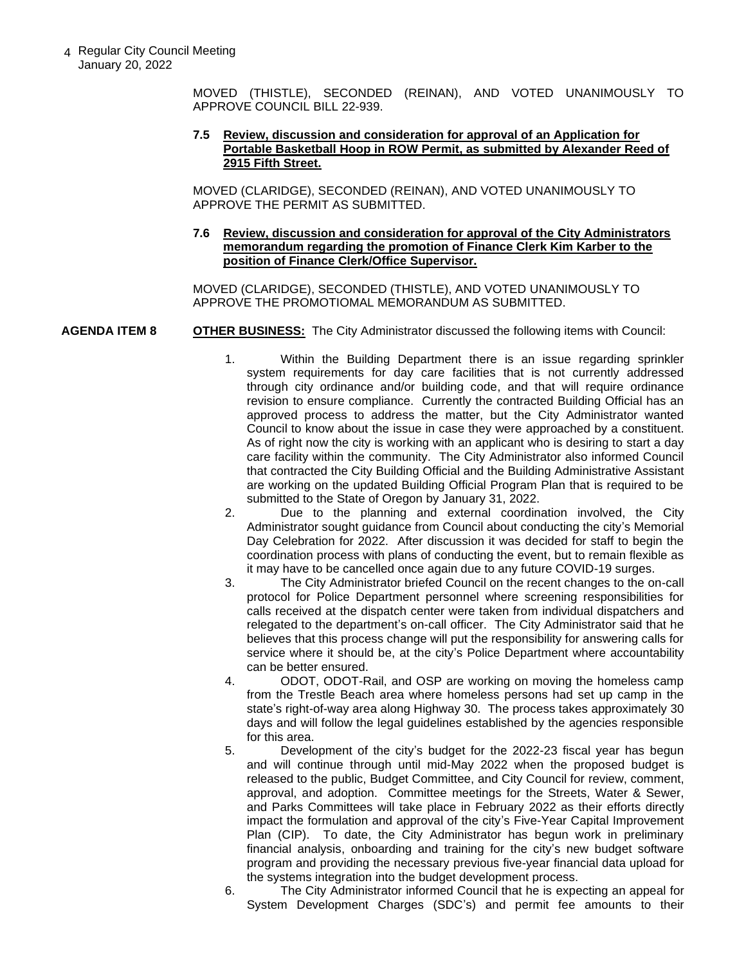4 Regular City Council Meeting January 20, 2022

> MOVED (THISTLE), SECONDED (REINAN), AND VOTED UNANIMOUSLY TO APPROVE COUNCIL BILL 22-939.

#### **7.5 Review, discussion and consideration for approval of an Application for Portable Basketball Hoop in ROW Permit, as submitted by Alexander Reed of 2915 Fifth Street.**

MOVED (CLARIDGE), SECONDED (REINAN), AND VOTED UNANIMOUSLY TO APPROVE THE PERMIT AS SUBMITTED.

### **7.6 Review, discussion and consideration for approval of the City Administrators memorandum regarding the promotion of Finance Clerk Kim Karber to the position of Finance Clerk/Office Supervisor.**

MOVED (CLARIDGE), SECONDED (THISTLE), AND VOTED UNANIMOUSLY TO APPROVE THE PROMOTIOMAL MEMORANDUM AS SUBMITTED.

## **AGENDA ITEM 8 OTHER BUSINESS:** The City Administrator discussed the following items with Council:

- 1. Within the Building Department there is an issue regarding sprinkler system requirements for day care facilities that is not currently addressed through city ordinance and/or building code, and that will require ordinance revision to ensure compliance. Currently the contracted Building Official has an approved process to address the matter, but the City Administrator wanted Council to know about the issue in case they were approached by a constituent. As of right now the city is working with an applicant who is desiring to start a day care facility within the community. The City Administrator also informed Council that contracted the City Building Official and the Building Administrative Assistant are working on the updated Building Official Program Plan that is required to be submitted to the State of Oregon by January 31, 2022.
- 2. Due to the planning and external coordination involved, the City Administrator sought guidance from Council about conducting the city's Memorial Day Celebration for 2022. After discussion it was decided for staff to begin the coordination process with plans of conducting the event, but to remain flexible as it may have to be cancelled once again due to any future COVID-19 surges.
- 3. The City Administrator briefed Council on the recent changes to the on-call protocol for Police Department personnel where screening responsibilities for calls received at the dispatch center were taken from individual dispatchers and relegated to the department's on-call officer. The City Administrator said that he believes that this process change will put the responsibility for answering calls for service where it should be, at the city's Police Department where accountability can be better ensured.
- 4. ODOT, ODOT-Rail, and OSP are working on moving the homeless camp from the Trestle Beach area where homeless persons had set up camp in the state's right-of-way area along Highway 30. The process takes approximately 30 days and will follow the legal guidelines established by the agencies responsible for this area.
- 5. Development of the city's budget for the 2022-23 fiscal year has begun and will continue through until mid-May 2022 when the proposed budget is released to the public, Budget Committee, and City Council for review, comment, approval, and adoption. Committee meetings for the Streets, Water & Sewer, and Parks Committees will take place in February 2022 as their efforts directly impact the formulation and approval of the city's Five-Year Capital Improvement Plan (CIP). To date, the City Administrator has begun work in preliminary financial analysis, onboarding and training for the city's new budget software program and providing the necessary previous five-year financial data upload for the systems integration into the budget development process.
- 6. The City Administrator informed Council that he is expecting an appeal for System Development Charges (SDC's) and permit fee amounts to their